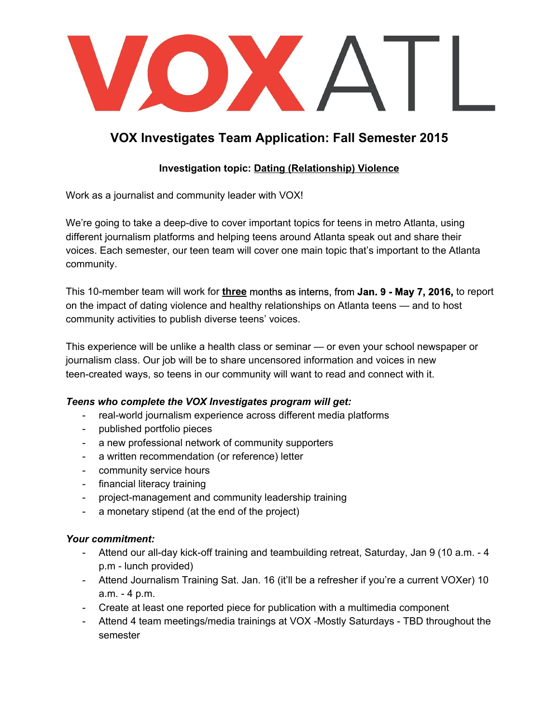

# **VOX Investigates Team Application: Fall Semester 2015**

# **Investigation topic: D ating (Relationship) Violence**

Work as a journalist and community leader with VOX!

We're going to take a deep-dive to cover important topics for teens in metro Atlanta, using different journalism platforms and helping teens around Atlanta speak out and share their voices. Each semester, our teen team will cover one main topic that's important to the Atlanta community.

This 10member team will work for **three** months as interns, from **Jan. 9 May 7, 2016,** to report on the impact of dating violence and healthy relationships on Atlanta teens — and to host community activities to publish diverse teens' voices.

This experience will be unlike a health class or seminar — or even your school newspaper or journalism class. Our job will be to share uncensored information and voices in new teen-created ways, so teens in our community will want to read and connect with it.

# *Teens who complete the VOX Investigates program will get:*

- real-world journalism experience across different media platforms
- published portfolio pieces
- a new professional network of community supporters
- a written recommendation (or reference) letter
- community service hours
- financial literacy training
- project-management and community leadership training
- a monetary stipend (at the end of the project)

#### *Your commitment:*

- Attend our all-day kick-off training and teambuilding retreat, Saturday, Jan 9 (10 a.m. 4 p.m - lunch provided)
- Attend Journalism Training Sat. Jan. 16 (it'll be a refresher if you're a current VOXer) 10  $a.m. - 4 p.m.$
- Create at least one reported piece for publication with a multimedia component
- Attend 4 team meetings/media trainings at VOX -Mostly Saturdays TBD throughout the semester